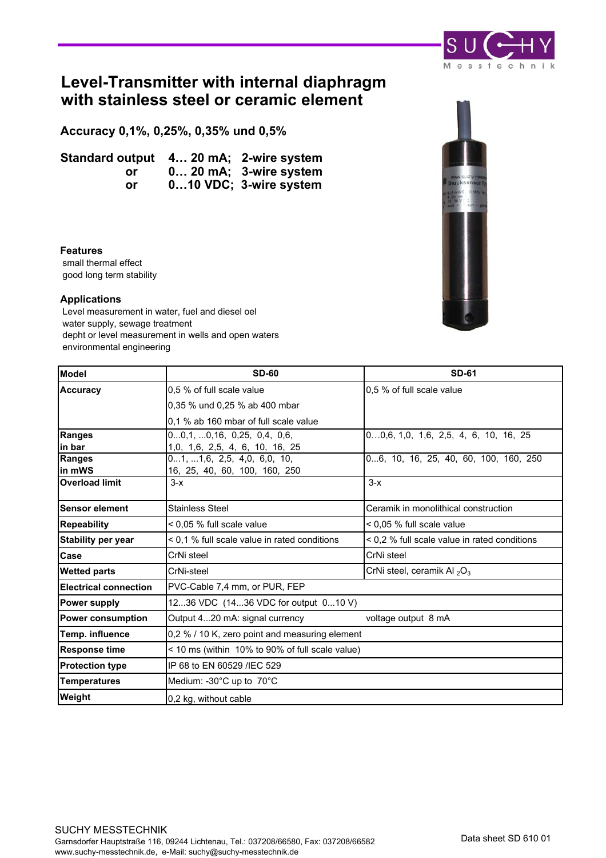

# **Level-Transmitter with internal diaphragm with stainless steel or ceramic element**

**Accuracy 0,1%, 0,25%, 0,35% und 0,5%**

**Standard output 4… 20 mA; 2-wire system or 0… 20 mA; 3-wire system or 0…10 VDC; 3-wire system**

#### **Features**

 small thermal effect good long term stability

#### **Applications**

 Level measurement in water, fuel and diesel oel water supply, sewage treatment depht or level measurement in wells and open waters environmental engineering

| <b>Model</b>                 | <b>SD-60</b>                                    | <b>SD-61</b>                                 |  |  |  |
|------------------------------|-------------------------------------------------|----------------------------------------------|--|--|--|
| <b>Accuracy</b>              | 0.5 % of full scale value                       | 0.5 % of full scale value                    |  |  |  |
|                              | 0,35 % und 0,25 % ab 400 mbar                   |                                              |  |  |  |
|                              | 0.1 % ab 160 mbar of full scale value           |                                              |  |  |  |
| <b>Ranges</b>                | 00,1, 0,16, 0,25, 0,4, 0,6,                     | $00,6, 1,0, 1,6, 2,5, 4, 6, 10, 16, 25$      |  |  |  |
| in bar                       | 1,0, 1,6, 2,5, 4, 6, 10, 16, 25                 |                                              |  |  |  |
| Ranges                       | 01, 1,6, 2,5, 4,0, 6,0, 10,                     | 06, 10, 16, 25, 40, 60, 100, 160, 250        |  |  |  |
| in mWS                       | 16, 25, 40, 60, 100, 160, 250                   |                                              |  |  |  |
| <b>Overload limit</b>        | $3-x$                                           | $3-x$                                        |  |  |  |
| <b>Sensor element</b>        | <b>Stainless Steel</b>                          | Ceramik in monolithical construction         |  |  |  |
| <b>Repeability</b>           | < 0.05 % full scale value                       | < 0.05 % full scale value                    |  |  |  |
| <b>Stability per year</b>    | < 0,1 % full scale value in rated conditions    | < 0,2 % full scale value in rated conditions |  |  |  |
| Case                         | CrNi steel                                      | CrNi steel                                   |  |  |  |
| <b>Wetted parts</b>          | CrNi-steel                                      | CrNi steel, ceramik Al $_2O_3$               |  |  |  |
| <b>Electrical connection</b> | PVC-Cable 7,4 mm, or PUR, FEP                   |                                              |  |  |  |
| <b>Power supply</b>          | 1236 VDC (1436 VDC for output 010 V)            |                                              |  |  |  |
| <b>Power consumption</b>     | Output 420 mA: signal currency                  | voltage output 8 mA                          |  |  |  |
| Temp. influence              | 0,2 % / 10 K, zero point and measuring element  |                                              |  |  |  |
| <b>Response time</b>         | < 10 ms (within 10% to 90% of full scale value) |                                              |  |  |  |
| <b>Protection type</b>       | IP 68 to EN 60529 /IEC 529                      |                                              |  |  |  |
| <b>Temperatures</b>          | Medium: -30°C up to 70°C                        |                                              |  |  |  |
| Weight                       | 0,2 kg, without cable                           |                                              |  |  |  |